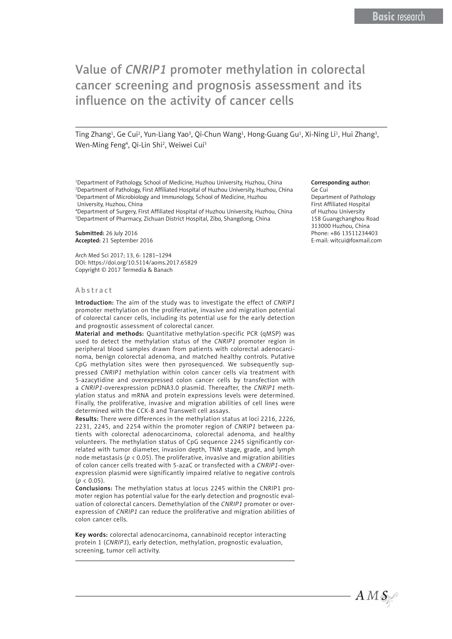Ting Zhang<sup>1</sup>, Ge Cui<sup>2</sup>, Yun-Liang Yao<sup>3</sup>, Qi-Chun Wang<sup>1</sup>, Hong-Guang Gu<sup>1</sup>, Xi-Ning Li<sup>1</sup>, Hui Zhang<sup>3</sup>, Wen-Ming Feng<sup>4</sup>, Qi-Lin Shi<sup>2</sup>, Weiwei Cui<sup>5</sup>

1 Department of Pathology, School of Medicine, Huzhou University, Huzhou, China 2 Department of Pathology, First Affiliated Hospital of Huzhou University, Huzhou, China <sup>3</sup>Department of Microbiology and Immunology, School of Medicine, Huzhou University, Huzhou, China

4 Department of Surgery, First Affiliated Hospital of Huzhou University, Huzhou, China 5 Department of Pharmacy, Zichuan District Hospital, Zibo, Shangdong, China

Submitted: 26 July 2016 Accepted: 21 September 2016

Arch Med Sci 2017; 13, 6: 1281–1294 DOI: https://doi.org/10.5114/aoms.2017.65829 Copyright © 2017 Termedia & Banach

#### Abstract

Introduction: The aim of the study was to investigate the effect of *CNRIP1* promoter methylation on the proliferative, invasive and migration potential of colorectal cancer cells, including its potential use for the early detection and prognostic assessment of colorectal cancer.

Material and methods: Quantitative methylation-specific PCR (qMSP) was used to detect the methylation status of the *CNRIP1* promoter region in peripheral blood samples drawn from patients with colorectal adenocarcinoma, benign colorectal adenoma, and matched healthy controls. Putative CpG methylation sites were then pyrosequenced. We subsequently suppressed *CNRIP1* methylation within colon cancer cells via treatment with 5-azacytidine and overexpressed colon cancer cells by transfection with a *CNRIP1*-overexpression pcDNA3.0 plasmid. Thereafter, the *CNRIP1* methylation status and mRNA and protein expressions levels were determined. Finally, the proliferative, invasive and migration abilities of cell lines were determined with the CCK-8 and Transwell cell assays.

Results: There were differences in the methylation status at loci 2216, 2226, 2231, 2245, and 2254 within the promoter region of *CNRIP1* between patients with colorectal adenocarcinoma, colorectal adenoma, and healthy volunteers. The methylation status of CpG sequence 2245 significantly correlated with tumor diameter, invasion depth, TNM stage, grade, and lymph node metastasis (*p* < 0.05). The proliferative, invasive and migration abilities of colon cancer cells treated with 5-azaC or transfected with a *CNRIP1*-overexpression plasmid were significantly impaired relative to negative controls  $(p < 0.05)$ .

Conclusions: The methylation status at locus 2245 within the CNRIP1 promoter region has potential value for the early detection and prognostic evaluation of colorectal cancers. Demethylation of the *CNRIP1* promoter or overexpression of *CNRIP1* can reduce the proliferative and migration abilities of colon cancer cells.

Key words: colorectal adenocarcinoma, cannabinoid receptor interacting protein 1 (*CNRIP1*), early detection, methylation, prognostic evaluation, screening, tumor cell activity.

#### Corresponding author:

Ge Cui Department of Pathology First Affiliated Hospital of Huzhou University 158 Guangchanghou Road 313000 Huzhou, China Phone: +86 13511234403 E-mail: [witcui@foxmail.com](mailto:witcui@foxmail.com)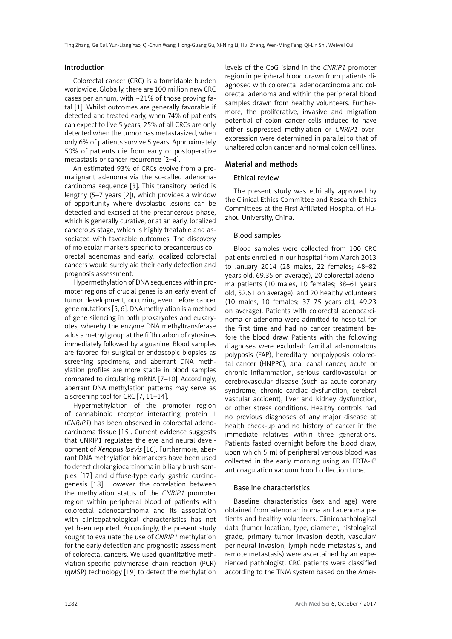### Introduction

Colorectal cancer (CRC) is a formidable burden worldwide. Globally, there are 100 million new CRC cases per annum, with ~21% of those proving fatal [1]. Whilst outcomes are generally favorable if detected and treated early, when 74% of patients can expect to live 5 years, 25% of all CRCs are only detected when the tumor has metastasized, when only 6% of patients survive 5 years. Approximately 50% of patients die from early or postoperative metastasis or cancer recurrence [2–4].

An estimated 93% of CRCs evolve from a premalignant adenoma via the so-called adenomacarcinoma sequence [3]. This transitory period is lengthy (5–7 years [2]), which provides a window of opportunity where dysplastic lesions can be detected and excised at the precancerous phase, which is generally curative, or at an early, localized cancerous stage, which is highly treatable and associated with favorable outcomes. The discovery of molecular markers specific to precancerous colorectal adenomas and early, localized colorectal cancers would surely aid their early detection and prognosis assessment.

Hypermethylation of DNA sequences within promoter regions of crucial genes is an early event of tumor development, occurring even before cancer gene mutations [5, 6]. DNA methylation is a method of gene silencing in both prokaryotes and eukaryotes, whereby the enzyme DNA methyltransferase adds a methyl group at the fifth carbon of cytosines immediately followed by a guanine. Blood samples are favored for surgical or endoscopic biopsies as screening specimens, and aberrant DNA methylation profiles are more stable in blood samples compared to circulating mRNA [7–10]. Accordingly, aberrant DNA methylation patterns may serve as a screening tool for CRC [7, 11–14].

Hypermethylation of the promoter region of cannabinoid receptor interacting protein 1 (*CNRIP1*) has been observed in colorectal adenocarcinoma tissue [15]. Current evidence suggests that CNRIP1 regulates the eye and neural development of *Xenopus laevis* [16]. Furthermore, aberrant DNA methylation biomarkers have been used to detect cholangiocarcinoma in biliary brush samples [17] and diffuse-type early gastric carcinogenesis [18]. However, the correlation between the methylation status of the *CNRIP1* promoter region within peripheral blood of patients with colorectal adenocarcinoma and its association with clinicopathological characteristics has not yet been reported. Accordingly, the present study sought to evaluate the use of *CNRIP1* methylation for the early detection and prognostic assessment of colorectal cancers. We used quantitative methylation-specific polymerase chain reaction (PCR) (qMSP) technology [19] to detect the methylation levels of the CpG island in the *CNRIP1* promoter region in peripheral blood drawn from patients diagnosed with colorectal adenocarcinoma and colorectal adenoma and within the peripheral blood samples drawn from healthy volunteers. Furthermore, the proliferative, invasive and migration potential of colon cancer cells induced to have either suppressed methylation or *CNRIP1* overexpression were determined in parallel to that of unaltered colon cancer and normal colon cell lines.

### Material and methods

### Ethical review

The present study was ethically approved by the Clinical Ethics Committee and Research Ethics Committees at the First Affiliated Hospital of Huzhou University, China.

### Blood samples

Blood samples were collected from 100 CRC patients enrolled in our hospital from March 2013 to January 2014 (28 males, 22 females; 48–82 years old, 69.35 on average), 20 colorectal adenoma patients (10 males, 10 females; 38–61 years old, 52.61 on average), and 20 healthy volunteers (10 males, 10 females; 37–75 years old, 49.23 on average). Patients with colorectal adenocarcinoma or adenoma were admitted to hospital for the first time and had no cancer treatment before the blood draw. Patients with the following diagnoses were excluded: familial adenomatous polyposis (FAP), hereditary nonpolyposis colorectal cancer (HNPPC), anal canal cancer, acute or chronic inflammation, serious cardiovascular or cerebrovascular disease (such as acute coronary syndrome, chronic cardiac dysfunction, cerebral vascular accident), liver and kidney dysfunction, or other stress conditions. Healthy controls had no previous diagnoses of any major disease at health check-up and no history of cancer in the immediate relatives within three generations. Patients fasted overnight before the blood draw, upon which 5 ml of peripheral venous blood was collected in the early morning using an EDTA-K2 anticoagulation vacuum blood collection tube.

### Baseline characteristics

Baseline characteristics (sex and age) were obtained from adenocarcinoma and adenoma patients and healthy volunteers. Clinicopathological data (tumor location, type, diameter, histological grade, primary tumor invasion depth, vascular/ perineural invasion, lymph node metastasis, and remote metastasis) were ascertained by an experienced pathologist. CRC patients were classified according to the TNM system based on the Amer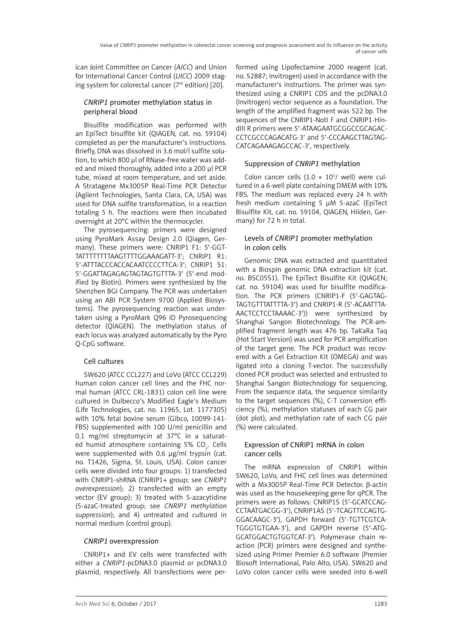ican Joint Committee on Cancer (*AJCC*) and Union for International Cancer Control (*UICC*) 2009 staging system for colorectal cancer ( $7<sup>th</sup>$  edition) [20].

### *CNRIP1* promoter methylation status in peripheral blood

Bisulfite modification was performed with an EpiTect bisulfite kit (QIAGEN, cat. no. 59104) completed as per the manufacturer's instructions. Briefly, DNA was dissolved in 3.6 mol/l sulfite solution, to which 800 μl of RNase-free water was added and mixed thoroughly, added into a 200 μl PCR tube, mixed at room temperature, and set aside. A Stratagene Mx3005P Real-Time PCR Detector (Agilent Technologies, Santa Clara, CA, USA) was used for DNA sulfite transformation, in a reaction totaling 5 h. The reactions were then incubated overnight at 20°C within the thermocycler.

The pyrosequencing: primers were designed using PyroMark Assay Design 2.0 (Qiagen, Germany). These primers were: CNRIP1 F1: 5′-GGT-TATTTTTTTTAAGTTTTGGAAAGATT-3′; CNRIP1 R1: 5′-ATTTACCCACCACAATCCCCTTCA-3′; CNRIP1 S1: 5′-GGATTAGAGAGTAGTAGTGTTTA-3′ (5′-end modified by Biotin). Primers were synthesized by the Shenzhen BGI Company. The PCR was undertaken using an ABI PCR System 9700 (Applied Biosystems). The pyrosequencing reaction was undertaken using a PyroMark Q96 ID Pyrosequencing detector (QIAGEN). The methylation status of each locus was analyzed automatically by the Pyro Q-CpG software.

# Cell cultures

SW620 (ATCC CCL227) and LoVo (ATCC CCL229) human colon cancer cell lines and the FHC normal human (ATCC CRL-1831) colon cell line were cultured in Dulbecco's Modified Eagle's Medium (Life Technologies, cat. no. 11965, Lot. 1177305) with 10% fetal bovine serum (Gibco, 10099-141- FBS) supplemented with 100 U/ml penicillin and 0.1 mg/ml streptomycin at 37°C in a saturated humid atmosphere containing 5% CO<sub>2</sub>. Cells were supplemented with 0.6 μg/ml trypsin (cat. no. T1426, Sigma, St. Louis, USA). Colon cancer cells were divided into four groups: 1) transfected with CNRIP1-shRNA (CNRIP1+ group; see *CNRIP1 overexpression*); 2) transfected with an empty vector (EV group); 3) treated with 5-azacytidine (5-azaC-treated group; see *CNRIP1 methylation suppression*); and 4) untreated and cultured in normal medium (control group).

# *CNRIP1* overexpression

CNRIP1+ and EV cells were transfected with either a *CNRIP1-*pcDNA3.0 plasmid or pcDNA3.0 plasmid, respectively. All transfections were performed using Lipofectamine 2000 reagent (cat. no. 52887; Invitrogen) used in accordance with the manufacturer's instructions. The primer was synthesized using a CNRIP1 CDS and the pcDNA3.0 (Invitrogen) vector sequence as a foundation. The length of the amplified fragment was 522 bp. The sequences of the CNRIP1-NotI F and CNRIP1-HindIII R primers were 5'-ATAAGAATGCGGCCGCAGAC-CCTCGCCCAGACATG-3′ and 5′-CCCAAGCTTAGTAG-CATCAGAAAGAGCCAC-3′, respectively.

# Suppression of *CNRIP1* methylation

Colon cancer cells  $(1.0 \times 10^5)$  well) were cultured in a 6-well plate containing DMEM with 10% FBS. The medium was replaced every 24 h with fresh medium containing 5 μM 5-azaC (EpiTect Bisulfite Kit, cat. no. 59104, QIAGEN, Hilden, Germany) for 72 h in total.

### Levels of *CNRIP1* promoter methylation in colon cells

Genomic DNA was extracted and quantitated with a Biospin genomic DNA extraction kit (cat. no. BSC05S1). The EpiTect Bisulfite Kit (QIAGEN; cat. no. 59104) was used for bisulfite modification. The PCR primers (CNRIP1-F (5′-GAGTAG-TAGTGTTTATTTTA-3′) and CNRIP1-R (5′-ACAATTTA-AACTCCTCCTAAAAC-3′)) were synthesized by Shanghai Sangon Biotechnology. The PCR-amplified fragment length was 476 bp. TaKaRa Taq (Hot Start Version) was used for PCR amplification of the target gene. The PCR product was recovered with a Gel Extraction Kit (OMEGA) and was ligated into a cloning T-vector. The successfully cloned PCR product was selected and entrusted to Shanghai Sangon Biotechnology for sequencing. From the sequence data, the sequence similarity to the target sequences (%), C-T conversion efficiency (%), methylation statuses of each CG pair (dot plot), and methylation rate of each CG pair (%) were calculated.

### Expression of CNRIP1 mRNA in colon cancer cells

The mRNA expression of CNRIP1 within SW620, LoVo, and FHC cell lines was determined with a Mx3005P Real-Time PCR Detector. β-actin was used as the housekeeping gene for qPCR. The primers were as follows: CNRIP1S (5′-GCATCCAG-CCTAATGACGG-3′), CNRIP1AS (5′-TCAGTTCCAGTG-GGACAAGC-3′), GAPDH forward (5′-TGTTCGTCA-TGGGTGTGAA-3′), and GAPDH reverse (5′-ATG-GCATGGACTGTGGTCAT-3′). Polymerase chain reaction (PCR) primers were designed and synthesized using Primer Premier 6.0 software (Premier Biosoft International, Palo Alto, USA). SW620 and LoVo colon cancer cells were seeded into 6-well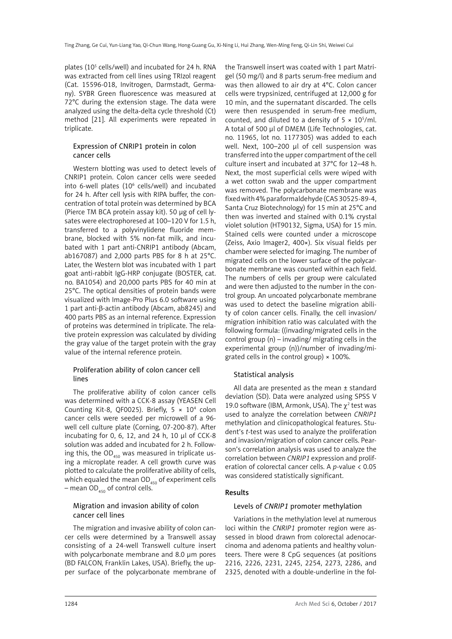plates (105 cells/well) and incubated for 24 h. RNA was extracted from cell lines using TRIzol reagent (Cat. 15596-018, Invitrogen, Darmstadt, Germany). SYBR Green fluorescence was measured at 72°C during the extension stage. The data were analyzed using the delta-delta cycle threshold (Ct) method [21]. All experiments were repeated in triplicate.

### Expression of CNRIP1 protein in colon cancer cells

Western blotting was used to detect levels of CNRIP1 protein. Colon cancer cells were seeded into 6-well plates (10<sup>6</sup> cells/well) and incubated for 24 h. After cell lysis with RIPA buffer, the concentration of total protein was determined by BCA (Pierce TM BCA protein assay kit). 50 μg of cell lysates were electrophoresed at 100–120 V for 1.5 h, transferred to a polyvinylidene fluoride membrane, blocked with 5% non-fat milk, and incubated with 1 part anti-CNRIP1 antibody (Abcam, ab167087) and 2,000 parts PBS for 8 h at 25°C. Later, the Western blot was incubated with 1 part goat anti-rabbit IgG-HRP conjugate (BOSTER, cat. no. BA1054) and 20,000 parts PBS for 40 min at 25°C. The optical densities of protein bands were visualized with Image-Pro Plus 6.0 software using 1 part anti-β-actin antibody (Abcam, ab8245) and 400 parts PBS as an internal reference. Expression of proteins was determined in triplicate. The relative protein expression was calculated by dividing the gray value of the target protein with the gray value of the internal reference protein.

### Proliferation ability of colon cancer cell lines

The proliferative ability of colon cancer cells was determined with a CCK-8 assay (YEASEN Cell Counting Kit-8, QF0025). Briefly,  $5 \times 10^4$  colon cancer cells were seeded per microwell of a 96 well cell culture plate (Corning, 07-200-87). After incubating for 0, 6, 12, and 24 h, 10 μl of CCK-8 solution was added and incubated for 2 h. Following this, the  $OD<sub>450</sub>$  was measured in triplicate using a microplate reader. A cell growth curve was plotted to calculate the proliferative ability of cells, which equaled the mean  $OD_{450}$  of experiment cells – mean  $OD_{450}$  of control cells.

### Migration and invasion ability of colon cancer cell lines

The migration and invasive ability of colon cancer cells were determined by a Transwell assay consisting of a 24-well Transwell culture insert with polycarbonate membrane and 8.0 μm pores (BD FALCON, Franklin Lakes, USA). Briefly, the upper surface of the polycarbonate membrane of the Transwell insert was coated with 1 part Matrigel (50 mg/l) and 8 parts serum-free medium and was then allowed to air dry at 4°C. Colon cancer cells were trypsinized, centrifuged at 12,000 g for 10 min, and the supernatant discarded. The cells were then resuspended in serum-free medium, counted, and diluted to a density of  $5 \times 10^5$ /ml. A total of 500 μl of DMEM (Life Technologies, cat. no. 11965, lot no. 1177305) was added to each well. Next, 100–200 μl of cell suspension was transferred into the upper compartment of the cell culture insert and incubated at 37°C for 12–48 h. Next, the most superficial cells were wiped with a wet cotton swab and the upper compartment was removed. The polycarbonate membrane was fixed with 4% paraformaldehyde (CAS 30525-89-4, Santa Cruz Biotechnology) for 15 min at 25°C and then was inverted and stained with 0.1% crystal violet solution (HT90132, Sigma, USA) for 15 min. Stained cells were counted under a microscope (Zeiss, Axio Imager2, 400×). Six visual fields per chamber were selected for imaging. The number of migrated cells on the lower surface of the polycarbonate membrane was counted within each field. The numbers of cells per group were calculated and were then adjusted to the number in the control group. An uncoated polycarbonate membrane was used to detect the baseline migration ability of colon cancer cells. Finally, the cell invasion/ migration inhibition ratio was calculated with the following formula: ((invading/migrated cells in the control group (n) – invading/ migrating cells in the experimental group (n))/number of invading/migrated cells in the control group)  $\times$  100%.

# Statistical analysis

All data are presented as the mean ± standard deviation (SD). Data were analyzed using SPSS V 19.0 software (IBM, Armonk, USA). The  $\chi^2$  test was used to analyze the correlation between *CNRIP1* methylation and clinicopathological features. Student's *t*-test was used to analyze the proliferation and invasion/migration of colon cancer cells. Pearson's correlation analysis was used to analyze the correlation between *CNRIP1* expression and proliferation of colorectal cancer cells. A *p*-value < 0.05 was considered statistically significant.

### Results

### Levels of *CNRIP1* promoter methylation

Variations in the methylation level at numerous loci within the *CNRIP1* promoter region were assessed in blood drawn from colorectal adenocarcinoma and adenoma patients and healthy volunteers. There were 8 CpG sequences (at positions 2216, 2226, 2231, 2245, 2254, 2273, 2286, and 2325, denoted with a double-underline in the fol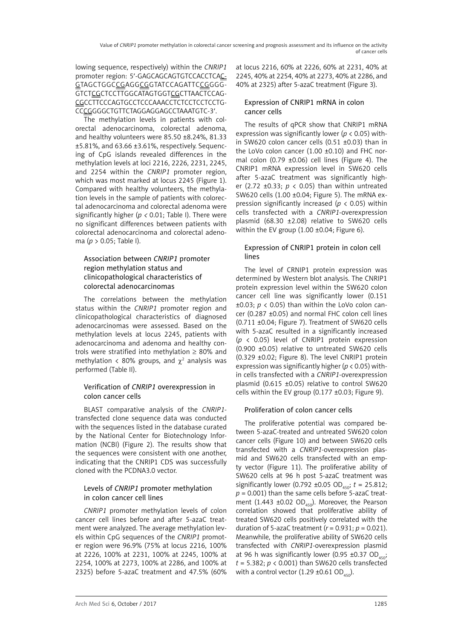lowing sequence, respectively) within the *CNRIP1* promoter region: 5'-GAGCAGCAGTGTCCACCTCAC-GTAGCTGGCCGAGGCGGTATCCAGATTCCGGGG-GTCTCGCTCCTTGGCATAGTGGTCGCTTAACTCCAG-CGCCTTCCCAGTGCCTCCCAAACCTCTCCTCCTCCTG-CCCGGGGCTGTTCTAGGAGGAGCCTAAATGTC-3′.

The methylation levels in patients with colorectal adenocarcinoma, colorectal adenoma, and healthy volunteers were 85.50 ±8.24%, 81.33 ±5.81%, and 63.66 ±3.61%, respectively. Sequencing of CpG islands revealed differences in the methylation levels at loci 2216, 2226, 2231, 2245, and 2254 within the *CNRIP1* promoter region, which was most marked at locus 2245 (Figure 1). Compared with healthy volunteers, the methylation levels in the sample of patients with colorectal adenocarcinoma and colorectal adenoma were significantly higher (*p <* 0.01; Table I). There were no significant differences between patients with colorectal adenocarcinoma and colorectal adenoma (*p* > 0.05; Table I).

### Association between *CNRIP1* promoter region methylation status and clinicopathological characteristics of colorectal adenocarcinomas

The correlations between the methylation status within the *CNRIP1* promoter region and clinicopathological characteristics of diagnosed adenocarcinomas were assessed. Based on the methylation levels at locus 2245, patients with adenocarcinoma and adenoma and healthy controls were stratified into methylation  $\geq 80\%$  and methylation < 80% groups, and  $\chi^2$  analysis was performed (Table II).

### Verification of *CNRIP1* overexpression in colon cancer cells

BLAST comparative analysis of the *CNRIP1* transfected clone sequence data was conducted with the sequences listed in the database curated by the National Center for Biotechnology Information (NCBI) (Figure 2). The results show that the sequences were consistent with one another, indicating that the CNRIP1 CDS was successfully cloned with the PCDNA3.0 vector.

### Levels of *CNRIP1* promoter methylation in colon cancer cell lines

*CNRIP1* promoter methylation levels of colon cancer cell lines before and after 5-azaC treatment were analyzed. The average methylation levels within CpG sequences of the *CNRIP1* promoter region were 96.9% (75% at locus 2216, 100% at 2226, 100% at 2231, 100% at 2245, 100% at 2254, 100% at 2273, 100% at 2286, and 100% at 2325) before 5-azaC treatment and 47.5% (60% at locus 2216, 60% at 2226, 60% at 2231, 40% at 2245, 40% at 2254, 40% at 2273, 40% at 2286, and 40% at 2325) after 5-azaC treatment (Figure 3).

### Expression of CNRIP1 mRNA in colon cancer cells

The results of qPCR show that CNRIP1 mRNA expression was significantly lower (*p* < 0.05) within SW620 colon cancer cells (0.51 ±0.03) than in the LoVo colon cancer (1.00 ±0.10) and FHC normal colon (0.79 ±0.06) cell lines (Figure 4). The CNRIP1 mRNA expression level in SW620 cells after 5-azaC treatment was significantly higher (2.72 ±0.33; *p* < 0.05) than within untreated SW620 cells (1.00 ±0.04; Figure 5). The mRNA expression significantly increased (*p* < 0.05) within cells transfected with a *CNRIP1*-overexpression plasmid (68.30 ±2.08) relative to SW620 cells within the EV group (1.00 ±0.04; Figure 6).

### Expression of CNRIP1 protein in colon cell lines

The level of CRNIP1 protein expression was determined by Western blot analysis. The CNRIP1 protein expression level within the SW620 colon cancer cell line was significantly lower (0.151  $\pm 0.03$ ;  $p \le 0.05$ ) than within the LoVo colon cancer (0.287 ±0.05) and normal FHC colon cell lines (0.711 ±0.04; Figure 7). Treatment of SW620 cells with 5-azaC resulted in a significantly increased (*p* < 0.05) level of CNRIP1 protein expression (0.900 ±0.05) relative to untreated SW620 cells (0.329 ±0.02; Figure 8). The level CNRIP1 protein expression was significantly higher (*p* < 0.05) within cells transfected with a *CNRIP1*-overexpression plasmid (0.615 ±0.05) relative to control SW620 cells within the EV group (0.177 ±0.03; Figure 9).

### Proliferation of colon cancer cells

The proliferative potential was compared between 5-azaC-treated and untreated SW620 colon cancer cells (Figure 10) and between SW620 cells transfected with a *CNRIP1*-overexpression plasmid and SW620 cells transfected with an empty vector (Figure 11). The proliferative ability of SW620 cells at 96 h post 5-azaC treatment was significantly lower (0.792 ±0.05 OD<sub>450</sub>;  $t = 25.812$ ;  $p = 0.001$ ) than the same cells before 5-azaC treatment (1.443 ±0.02 OD<sub>450</sub>). Moreover, the Pearson correlation showed that proliferative ability of treated SW620 cells positively correlated with the duration of 5-azaC treatment  $(r = 0.931: p = 0.021)$ . Meanwhile, the proliferative ability of SW620 cells transfected with *CNRIP1*-overexpression plasmid at 96 h was significantly lower (0.95  $\pm$ 0.37 OD<sub>450</sub>;  $t = 5.382$ ;  $p < 0.001$ ) than SW620 cells transfected with a control vector  $(1.29 \pm 0.61 \text{ OD}_{450})$ .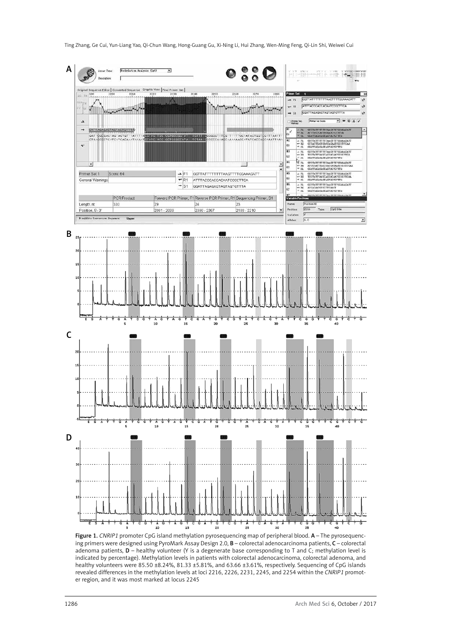Ting Zhang, Ge Cui, Yun-Liang Yao, Qi-Chun Wang, Hong-Guang Gu, Xi-Ning Li, Hui Zhang, Wen-Ming Feng, Qi-Lin Shi, Weiwei Cui



Figure 1. *CNRIP1* promoter CpG island methylation pyrosequencing map of peripheral blood. A - The pyrosequencing primers were designed using PyroMark Assay Design 2.0, B – colorectal adenocarcinoma patients, C – colorectal adenoma patients, D – healthy volunteer (Y is a degenerate base corresponding to T and C; methylation level is indicated by percentage). Methylation levels in patients with colorectal adenocarcinoma, colorectal adenoma, and healthy volunteers were 85.50 ±8.24%, 81.33 ±5.81%, and 63.66 ±3.61%, respectively. Sequencing of CpG islands revealed differences in the methylation levels at loci 2216, 2226, 2231, 2245, and 2254 within the *CNRIP1* promoter region, and it was most marked at locus 2245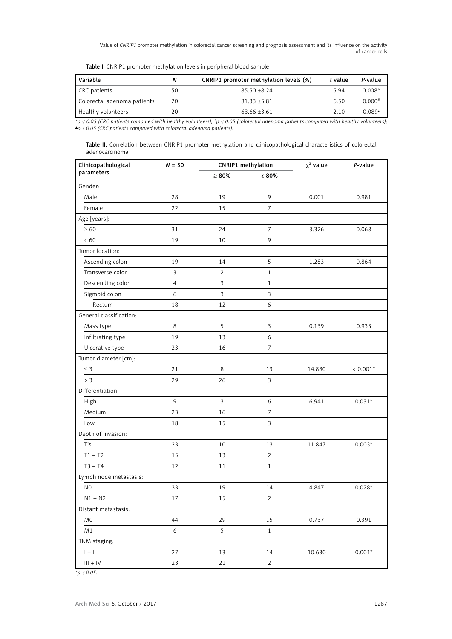|  | Table I. CNRIP1 promoter methylation levels in peripheral blood sample |  |  |  |  |
|--|------------------------------------------------------------------------|--|--|--|--|
|--|------------------------------------------------------------------------|--|--|--|--|

| Variable                    | Ν  | CNRIP1 promoter methylation levels (%) | t value | P-value     |
|-----------------------------|----|----------------------------------------|---------|-------------|
| CRC patients                | 50 | $85.50 + 8.24$                         | 5.94    | $0.008*$    |
| Colorectal adenoma patients | 20 | $81.33 + 5.81$                         | 6.50    | $0.000^{*}$ |
| Healthy volunteers          | 20 | $63.66 \pm 3.61$                       | 2.10    | 0.089*      |

*\*p < 0.05 (CRC patients compared with healthy volunteers); #p < 0.05 (colorectal adenoma patients compared with healthy volunteers); p > 0.05 (CRC patients compared with colorectal adenoma patients).*

|                |  |  |  | Table II. Correlation between CNRIP1 promoter methylation and clinicopathological characteristics of colorectal |  |  |
|----------------|--|--|--|-----------------------------------------------------------------------------------------------------------------|--|--|
| adenocarcinoma |  |  |  |                                                                                                                 |  |  |

| Clinicopathological                                                    | $N = 50$         | CNRIP1 methylation |                  | $\chi^2$ value | P-value    |
|------------------------------------------------------------------------|------------------|--------------------|------------------|----------------|------------|
| parameters                                                             |                  | $\geq 80\%$        | $< 80\%$         |                |            |
| Gender:                                                                |                  |                    |                  |                |            |
| Male                                                                   | 28               | 19                 | 9                | 0.001          | 0.981      |
| Female                                                                 | 22               | 15                 | $\overline{7}$   |                |            |
| Age [years]:                                                           |                  |                    |                  |                |            |
| $\geq 60$                                                              | 31               | 24                 | 7                | 3.326          | 0.068      |
| < 60                                                                   | 19               | 10                 | 9                |                |            |
| Tumor location:                                                        |                  |                    |                  |                |            |
| Ascending colon                                                        | 19               | 14                 | 5                | 1.283          | 0.864      |
| Transverse colon                                                       | 3                | $\overline{2}$     | $\mathbf{1}$     |                |            |
| Descending colon                                                       | 4                | 3                  | $\mathbf{1}$     |                |            |
| Sigmoid colon                                                          | 6                | $\mathbf{3}$       | 3                |                |            |
| Rectum                                                                 | 18               | 12                 | $\boldsymbol{6}$ |                |            |
| General classification:                                                |                  |                    |                  |                |            |
| Mass type                                                              | 8                | 5                  | $\mathbf{3}$     | 0.139          | 0.933      |
| Infiltrating type                                                      | 19               | 13                 | 6                |                |            |
| Ulcerative type                                                        | 23               | 16                 | 7                |                |            |
| Tumor diameter [cm]:                                                   |                  |                    |                  |                |            |
| $\leq$ 3                                                               | 21               | 8                  | 13               | 14.880         | $< 0.001*$ |
| > 3                                                                    | 29               | 26                 | 3                |                |            |
| Differentiation:                                                       |                  |                    |                  |                |            |
| High                                                                   | 9                | 3                  | 6                | 6.941          | $0.031*$   |
| Medium                                                                 | 23               | 16                 | 7                |                |            |
| Low                                                                    | 18               | 15                 | $\mathbf{3}$     |                |            |
| Depth of invasion:                                                     |                  |                    |                  |                |            |
| Tis                                                                    | 23               | 10                 | 13               | 11.847         | $0.003*$   |
| $T1 + T2$                                                              | 15               | 13                 | $\overline{2}$   |                |            |
| $T3 + T4$                                                              | 12               | 11                 | $\mathbf{1}$     |                |            |
| Lymph node metastasis:                                                 |                  |                    |                  |                |            |
| N <sub>0</sub>                                                         | 33               | 19                 | 14               | 4.847          | $0.028*$   |
| $N1 + N2$                                                              | 17               | 15                 | $\overline{2}$   |                |            |
| Distant metastasis:                                                    |                  |                    |                  |                |            |
| M <sub>0</sub>                                                         | 44               | 29                 | 15               | 0.737          | 0.391      |
| M1                                                                     | $\boldsymbol{6}$ | 5                  | $1\,$            |                |            |
| TNM staging:                                                           |                  |                    |                  |                |            |
| $1 + 11$                                                               | 27               | 13                 | 14               | 10.630         | $0.001*$   |
| $\left\vert \right\vert \right\vert +\left\vert \mathsf{V}\right\vert$ | 23               | $21\,$             | $\overline{2}$   |                |            |
|                                                                        |                  |                    |                  |                |            |

*\*p < 0.05.*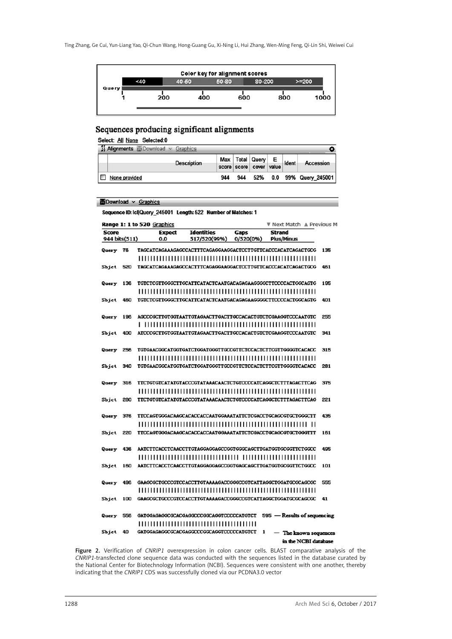

### Sequences producing significant alignments

| Select: All None Selected:0           |                         |                         |  |                              |
|---------------------------------------|-------------------------|-------------------------|--|------------------------------|
| Alignments <b>Download</b> > Graphics |                         |                         |  |                              |
| <b>Description</b>                    | Max Total Query E Ident |                         |  | Accession                    |
|                                       |                         | score score cover value |  |                              |
| None provided                         | 944                     |                         |  | 944 52% 0.0 99% Query 245001 |
|                                       |                         |                         |  |                              |

```
Download v Graphics
```
Sequence ID: Icl|Query\_245001 Length: 522 Number of Matches: 1

|               |     | Range 1: 1 to 520 Graphics               |                   |           | Next Match A Previous M                                      |     |
|---------------|-----|------------------------------------------|-------------------|-----------|--------------------------------------------------------------|-----|
| <b>Score</b>  |     | <b>Expect</b>                            | <b>Identities</b> | Gaps      | <b>Strand</b>                                                |     |
| 944 bits(511) |     | 0.0                                      | 517/520(99%)      | 0/520(0%) | <b>Plus/Minus</b>                                            |     |
| Query         | 76  |                                          |                   |           | TAGCATCAGAAAGAGCCACTTTCAGAGGAAGGACTCCTTGTTCACCCACATCAGACTGCG | 135 |
|               |     |                                          |                   |           |                                                              |     |
| Sbict         | 520 |                                          |                   |           | TAGCATCAGAAAGAGCCACTTTCAGAGGAAGGACTCCTTGTTCACCCACATCAGACTGCG | 461 |
|               |     |                                          |                   |           |                                                              |     |
| Query         | 136 |                                          |                   |           | TGTCTCGTTGGGCTTGCATTCATACTCAATGACAGAGGAGGGCTTCCCCACTGGCAGTG  | 195 |
|               |     |                                          |                   |           |                                                              |     |
| Sbjet         | 460 |                                          |                   |           | TGTCTCGTTGGGCTTGCATTCATACTCAATGACAGAGAAGGGGCTTCCCCACTGGCAGTG | 401 |
|               |     |                                          |                   |           |                                                              |     |
| Query         | 196 |                                          |                   |           | AGCCCGCTTGTGGTAATTGTAGAACTTGACTTGCCACACTGTCTCGAAGGTCCCAATGTC | 255 |
|               |     |                                          |                   |           |                                                              |     |
| Sbjet         | 400 |                                          |                   |           | ATCCCGCTTGTGGTAATTGTAGAACTTGACTTGCCACACTGTCTCGAAGGTCCCAATGTC | 341 |
|               |     |                                          |                   |           |                                                              |     |
| Query         | 256 |                                          |                   |           | TGTGAACGGCATGGTGATCTGGATGGGTTGCCGTTCTCCACTCTTCGTTGGGGTCACACC | 315 |
|               |     |                                          |                   |           |                                                              |     |
| Sbjet         | 340 |                                          |                   |           | TGTGAACGGCATGGTGATCTGGATGGGTTGCCGTTCTCCACTCTTCGTTGGGGTCACACC | 281 |
|               |     |                                          |                   |           |                                                              |     |
| Query         | 316 |                                          |                   |           | TTCTGTGTCATATGTACCCGTATAAACAACTCTGTCCCCATCAGGCTCTTTAGACTTCAG | 375 |
|               |     |                                          |                   |           |                                                              |     |
| Sbjet         | 280 |                                          |                   |           | TTCTGTGTCATATGTACCCGTATAAACAACTCTGTCCCCATCAGGCTCTTTAGACTTCAG | 221 |
|               |     |                                          |                   |           |                                                              |     |
| Query         | 376 |                                          |                   |           | TTCCAGTGGGACAAGCACACCACCAATGGAAATATTCTCGACCTGCAGCGTGCTGGGCTT | 435 |
|               |     |                                          |                   |           |                                                              |     |
| Sbjet         | 220 |                                          |                   |           | TTCCAGTGGGACAAGCACACCACCAATGGAAATATTCTCGACCTGCAGCGTGCTGGGTTT | 161 |
|               |     |                                          |                   |           |                                                              |     |
| Query         | 436 |                                          |                   |           | AATCTTCACCTCAACCTTGTAGGAGGAGCCGGTGGGCAGCTTGATGGTGCGGTTCTGGCC | 495 |
|               |     |                                          |                   |           |                                                              |     |
| Sbict         | 160 |                                          |                   |           | AATCTTCACCTCAACCTTGTAGGAGGAGCCGGTGAGCAGCTTGATGGTGCGGTTCTGGCC | 101 |
|               |     |                                          |                   |           |                                                              |     |
| Query         | 496 |                                          |                   |           | GAAGCGCTGCCCGTCCACCTTGTAAAAGACCGGGCCGTCATTAGGCTGGATGCGCAGCGC | 555 |
|               |     |                                          |                   |           |                                                              |     |
| Sbict         | 100 |                                          |                   |           | GAAGCGCTGCCCGTCCACCTTGTAAAAGACCGGGCCGTCATTAGGCTGGATGCGCAGCGC | 41  |
|               |     |                                          |                   |           |                                                              |     |
| Query         | 556 | GATGGAGAGGCGCACGAGGCCCGGCAGGTCCCCCATGTCT |                   |           | 595 - Results of sequencing                                  |     |
|               |     |                                          |                   |           |                                                              |     |
| Sbjet         | 40  | GATGGAGAGGCGCACGAGGCCCGGCAGGTCCCCCATGTCT |                   |           | 1<br>- The known sequences                                   |     |
|               |     |                                          |                   |           | in the NCBI database                                         |     |

Figure 2. Verification of *CNRIP1* overexpression in colon cancer cells. BLAST comparative analysis of the *CNRIP1*-transfected clone sequence data was conducted with the sequences listed in the database curated by the National Center for Biotechnology Information (NCBI). Sequences were consistent with one another, thereby indicating that the *CNRIP1* CDS was successfully cloned via our PCDNA3.0 vector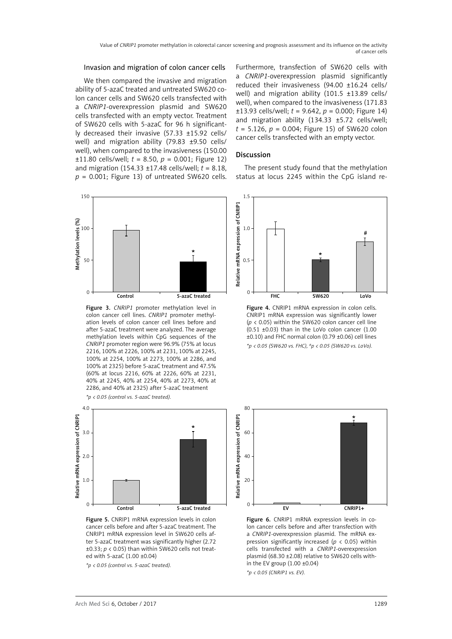#### Invasion and migration of colon cancer cells

We then compared the invasive and migration ability of 5-azaC treated and untreated SW620 colon cancer cells and SW620 cells transfected with a *CNRIP1*-overexpression plasmid and SW620 cells transfected with an empty vector. Treatment of SW620 cells with 5-azaC for 96 h significantly decreased their invasive (57.33 ±15.92 cells/ well) and migration ability (79.83 ±9.50 cells/ well), when compared to the invasiveness (150.00  $\pm$ 11.80 cells/well;  $t = 8.50$ ,  $p = 0.001$ ; Figure 12) and migration (154.33 ±17.48 cells/well; *t* = 8.18, *p* = 0.001; Figure 13) of untreated SW620 cells.



Figure 3. *CNRIP1* promoter methylation level in colon cancer cell lines. *CNRIP1* promoter methylation levels of colon cancer cell lines before and after 5-azaC treatment were analyzed. The average methylation levels within CpG sequences of the *CNRIP1* promoter region were 96.9% (75% at locus 2216, 100% at 2226, 100% at 2231, 100% at 2245, 100% at 2254, 100% at 2273, 100% at 2286, and 100% at 2325) before 5-azaC treatment and 47.5% (60% at locus 2216, 60% at 2226, 60% at 2231, 40% at 2245, 40% at 2254, 40% at 2273, 40% at 2286, and 40% at 2325) after 5-azaC treatment

*\*p < 0.05 (control vs. 5-azaC treated).*



Figure 5. CNRIP1 mRNA expression levels in colon cancer cells before and after 5-azaC treatment. The CNRIP1 mRNA expression level in SW620 cells after 5-azaC treatment was significantly higher (2.72 ±0.33; *p* < 0.05) than within SW620 cells not treated with 5-azaC (1.00 ±0.04)

*\*p < 0.05 (control vs. 5-azaC treated).*

Furthermore, transfection of SW620 cells with a *CNRIP1*-overexpression plasmid significantly reduced their invasiveness (94.00 ±16.24 cells/ well) and migration ability (101.5 ±13.89 cells/ well), when compared to the invasiveness (171.83  $\pm$ 13.93 cells/well;  $t = 9.642$ ,  $p = 0.000$ ; Figure 14) and migration ability (134.33 ±5.72 cells/well; *t* = 5.126, *p* = 0.004; Figure 15) of SW620 colon cancer cells transfected with an empty vector.

#### Discussion

The present study found that the methylation status at locus 2245 within the CpG island re-



Figure 4. CNRIP1 mRNA expression in colon cells. CNRIP1 mRNA expression was significantly lower (*p* < 0.05) within the SW620 colon cancer cell line (0.51 ±0.03) than in the LoVo colon cancer (1.00 ±0.10) and FHC normal colon (0.79 ±0.06) cell lines *\*p < 0.05 (SW620 vs. FHC), #p < 0.05 (SW620 vs. LoVo).*



Figure 6. CNRIP1 mRNA expression levels in colon cancer cells before and after transfection with a *CNRIP1*-overexpression plasmid. The mRNA expression significantly increased (*p* < 0.05) within cells transfected with a *CNRIP1*-overexpression plasmid (68.30 ±2.08) relative to SW620 cells within the EV group (1.00 ±0.04)

*\*p < 0.05 (CNRIP1 vs. EV).*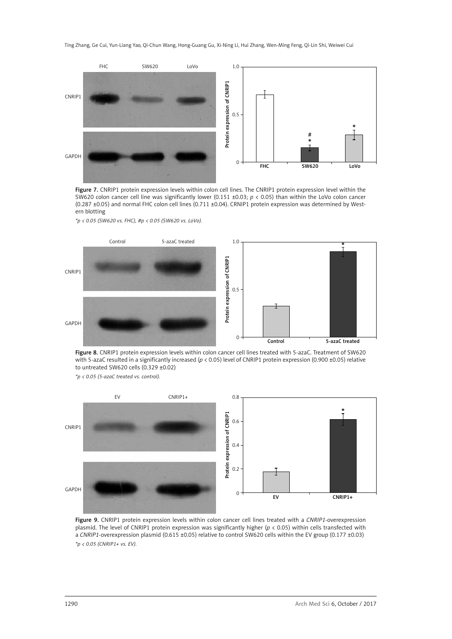

Figure 7. CNRIP1 protein expression levels within colon cell lines. The CNRIP1 protein expression level within the SW620 colon cancer cell line was significantly lower (0.151 ±0.03; *p* < 0.05) than within the LoVo colon cancer (0.287 ±0.05) and normal FHC colon cell lines (0.711 ±0.04). CRNIP1 protein expression was determined by Western blotting

*\*p < 0.05 (SW620 vs. FHC), #p < 0.05 (SW620 vs. LoVo).*



Figure 8. CNRIP1 protein expression levels within colon cancer cell lines treated with 5-azaC. Treatment of SW620 with 5-azaC resulted in a significantly increased (*p* < 0.05) level of CNRIP1 protein expression (0.900 ±0.05) relative to untreated SW620 cells (0.329 ±0.02)

*\*p < 0.05 (5-azaC treated vs. control).*



Figure 9. CNRIP1 protein expression levels within colon cancer cell lines treated with a *CNRIP1*-overexpression plasmid. The level of CNRIP1 protein expression was significantly higher (*p* < 0.05) within cells transfected with a *CNRIP1*-overexpression plasmid (0.615 ±0.05) relative to control SW620 cells within the EV group (0.177 ±0.03) *\*p < 0.05 (CNRIP1+ vs. EV).*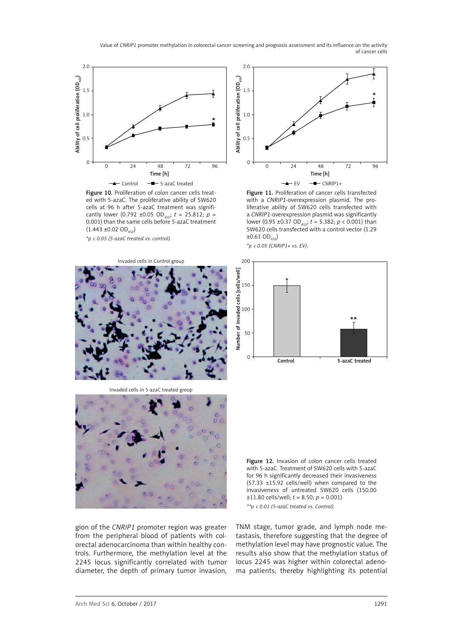

Figure 10. Proliferation of colon cancer cells treated with 5-azaC. The proliferative ability of SW620 cells at 96 h after 5-azaC treatment was significantly lower (0.792 ±0.05 OD<sub>450</sub>;  $t = 25.812$ ;  $p =$ 0.001) than the same cells before 5-azaC treatment  $(1.443 \pm 0.02 \text{ OD}_{450})$ 

Invaded cells in Control group

*\*p < 0.05 (5-azaC treated vs. control).*



Figure 11. Proliferation of cancer cells transfected with a *CNRIP1*-overexpression plasmid. The proliferative ability of SW620 cells transfected with a *CNRIP1*-overexpression plasmid was significantly lower (0.95 ±0.37 OD<sub>450</sub>;  $t = 5.382$ ;  $p < 0.001$ ) than SW620 cells transfected with a control vector (1.29  $\pm 0.61$  OD<sub>450</sub>) *\*p < 0.05 (CNRIP1+ vs. EV).*





Invaded cells in 5-azaC treated group



Figure 12. Invasion of colon cancer cells treated with 5-azaC. Treatment of SW620 cells with 5-azaC for 96 h significantly decreased their invasiveness (57.33 ±15.92 cells/well) when compared to the invasiveness of untreated SW620 cells (150.00  $±11.80$  cells/well;  $t = 8.50$ ;  $p = 0.001$ ) *\*\*p < 0.01 (5-azaC treated vs. Control).*

gion of the *CNRIP1* promoter region was greater from the peripheral blood of patients with colorectal adenocarcinoma than within healthy controls. Furthermore, the methylation level at the 2245 locus significantly correlated with tumor diameter, the depth of primary tumor invasion, TNM stage, tumor grade, and lymph node metastasis, therefore suggesting that the degree of methylation level may have prognostic value. The results also show that the methylation status of locus 2245 was higher within colorectal adenoma patients, thereby highlighting its potential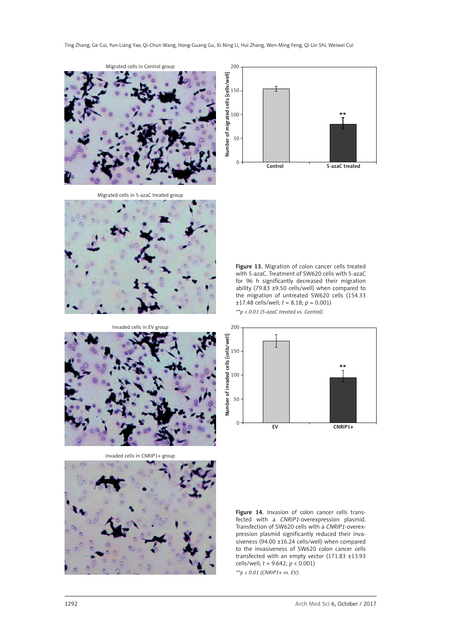

Migrated cells in 5-azaC treated group



Invaded cells in EV group



Invaded cells in CNRIP1+ group





Figure 13. Migration of colon cancer cells treated with 5-azaC. Treatment of SW620 cells with 5-azaC for 96 h significantly decreased their migration ability (79.83 ±9.50 cells/well) when compared to the migration of untreated SW620 cells (154.33  $\pm$ 17.48 cells/well; *t* = 8.18; *p* = 0.001)

*\*\*p < 0.01 (5-azaC treated vs. Control).*



Figure 14. Invasion of colon cancer cells transfected with a *CNRIP1*-overexpression plasmid. Transfection of SW620 cells with a *CNRIP1*-overexpression plasmid significantly reduced their invasiveness (94.00 ±16.24 cells/well) when compared to the invasiveness of SW620 colon cancer cells transfected with an empty vector (171.83 ±13.93 cells/well; *t* = 9.642; *p* < 0.001) *\*\*p < 0.01 (CNRIP1+ vs. EV).*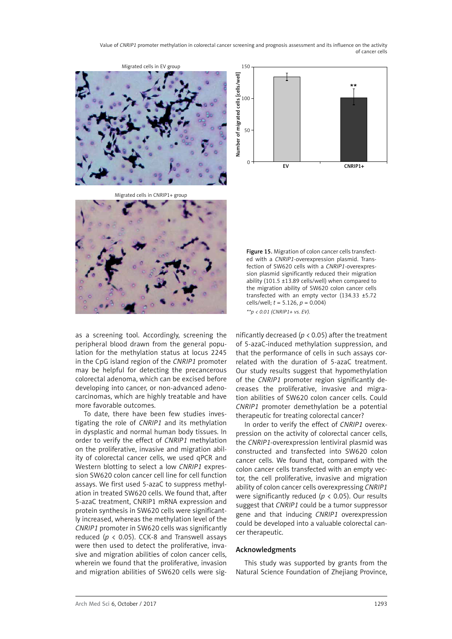



Migrated cells in EV group

Migrated cells in CNRIP1+ group



Figure 15. Migration of colon cancer cells transfected with a *CNRIP1*-overexpression plasmid. Transfection of SW620 cells with a *CNRIP1*-overexpression plasmid significantly reduced their migration ability (101.5 ±13.89 cells/well) when compared to the migration ability of SW620 colon cancer cells transfected with an empty vector (134.33 ±5.72 cells/well; *t* = 5.126, *p* = 0.004) *\*\*p < 0.01 (CNRIP1+ vs. EV).*

as a screening tool. Accordingly, screening the peripheral blood drawn from the general population for the methylation status at locus 2245 in the CpG island region of the *CNRIP1* promoter may be helpful for detecting the precancerous colorectal adenoma, which can be excised before developing into cancer, or non-advanced adenocarcinomas, which are highly treatable and have more favorable outcomes.

To date, there have been few studies investigating the role of *CNRIP1* and its methylation in dysplastic and normal human body tissues. In order to verify the effect of *CNRIP1* methylation on the proliferative, invasive and migration ability of colorectal cancer cells, we used qPCR and Western blotting to select a low *CNRIP1* expression SW620 colon cancer cell line for cell function assays. We first used 5-azaC to suppress methylation in treated SW620 cells. We found that, after 5-azaC treatment, CNRIP1 mRNA expression and protein synthesis in SW620 cells were significantly increased, whereas the methylation level of the *CNRIP1* promoter in SW620 cells was significantly reduced (*p* < 0.05). CCK-8 and Transwell assays were then used to detect the proliferative, invasive and migration abilities of colon cancer cells, wherein we found that the proliferative, invasion and migration abilities of SW620 cells were significantly decreased (*p* < 0.05) after the treatment of 5-azaC-induced methylation suppression, and that the performance of cells in such assays correlated with the duration of 5-azaC treatment. Our study results suggest that hypomethylation of the *CNRIP1* promoter region significantly decreases the proliferative, invasive and migration abilities of SW620 colon cancer cells. Could *CNRIP1* promoter demethylation be a potential therapeutic for treating colorectal cancer?

In order to verify the effect of *CNRIP1* overexpression on the activity of colorectal cancer cells, the *CNRIP1*-overexpression lentiviral plasmid was constructed and transfected into SW620 colon cancer cells. We found that, compared with the colon cancer cells transfected with an empty vector, the cell proliferative, invasive and migration ability of colon cancer cells overexpressing *CNRIP1* were significantly reduced (*p* < 0.05). Our results suggest that *CNRIP1* could be a tumor suppressor gene and that inducing *CNRIP1* overexpression could be developed into a valuable colorectal cancer therapeutic.

### Acknowledgments

This study was supported by grants from the Natural Science Foundation of Zhejiang Province,